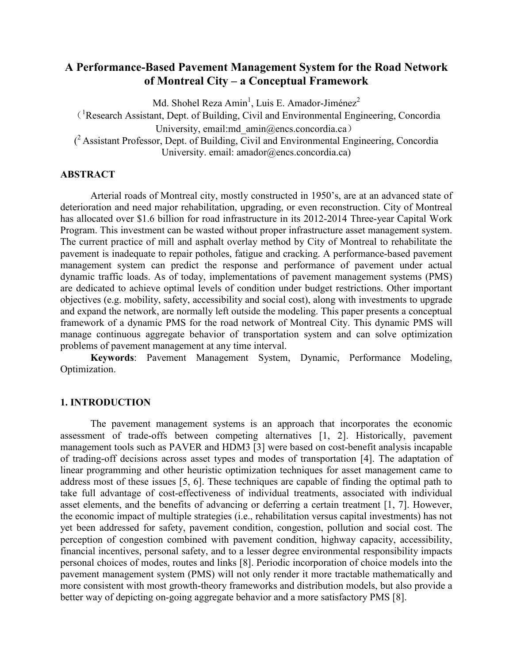# **A Performance-Based Pavement Management System for the Road Network of Montreal City – a Conceptual Framework**

Md. Shohel Reza Amin<sup>1</sup>, Luis E. Amador-Jiménez<sup>2</sup>

(<sup>1</sup> Research Assistant, Dept. of Building, Civil and Environmental Engineering, Concordia University, email:md\_amin@encs.concordia.ca)

 $($ <sup>2</sup> Assistant Professor, Dept. of Building, Civil and Environmental Engineering, Concordia University. email: amador@encs.concordia.ca)

# **ABSTRACT**

Arterial roads of Montreal city, mostly constructed in 1950's, are at an advanced state of deterioration and need major rehabilitation, upgrading, or even reconstruction. City of Montreal has allocated over \$1.6 billion for road infrastructure in its 2012-2014 Three-year Capital Work Program. This investment can be wasted without proper infrastructure asset management system. The current practice of mill and asphalt overlay method by City of Montreal to rehabilitate the pavement is inadequate to repair potholes, fatigue and cracking. A performance-based pavement management system can predict the response and performance of pavement under actual dynamic traffic loads. As of today, implementations of pavement management systems (PMS) are dedicated to achieve optimal levels of condition under budget restrictions. Other important objectives (e.g. mobility, safety, accessibility and social cost), along with investments to upgrade and expand the network, are normally left outside the modeling. This paper presents a conceptual framework of a dynamic PMS for the road network of Montreal City. This dynamic PMS will manage continuous aggregate behavior of transportation system and can solve optimization problems of pavement management at any time interval.

**Keywords**: Pavement Management System, Dynamic, Performance Modeling, Optimization.

# **1. INTRODUCTION**

The pavement management systems is an approach that incorporates the economic assessment of trade-offs between competing alternatives [1, 2]. Historically, pavement management tools such as PAVER and HDM3 [3] were based on cost-benefit analysis incapable of trading-off decisions across asset types and modes of transportation [4]. The adaptation of linear programming and other heuristic optimization techniques for asset management came to address most of these issues [5, 6]. These techniques are capable of finding the optimal path to take full advantage of cost-effectiveness of individual treatments, associated with individual asset elements, and the benefits of advancing or deferring a certain treatment [1, 7]. However, the economic impact of multiple strategies (i.e., rehabilitation versus capital investments) has not yet been addressed for safety, pavement condition, congestion, pollution and social cost. The perception of congestion combined with pavement condition, highway capacity, accessibility, financial incentives, personal safety, and to a lesser degree environmental responsibility impacts personal choices of modes, routes and links [8]. Periodic incorporation of choice models into the pavement management system (PMS) will not only render it more tractable mathematically and more consistent with most growth-theory frameworks and distribution models, but also provide a better way of depicting on-going aggregate behavior and a more satisfactory PMS [8].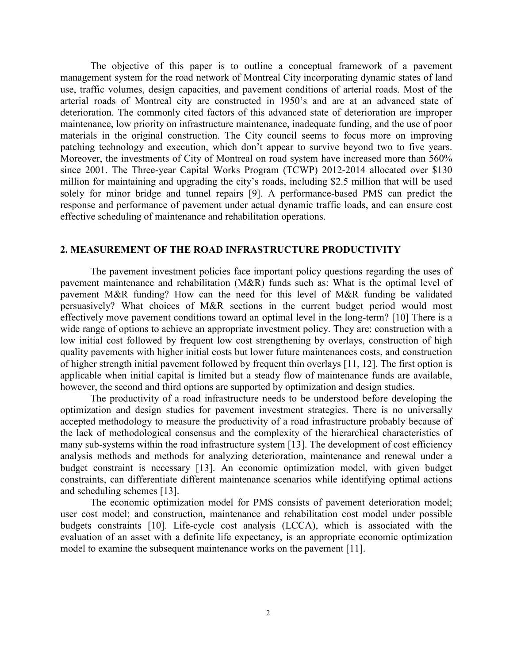The objective of this paper is to outline a conceptual framework of a pavement management system for the road network of Montreal City incorporating dynamic states of land use, traffic volumes, design capacities, and pavement conditions of arterial roads. Most of the arterial roads of Montreal city are constructed in 1950's and are at an advanced state of deterioration. The commonly cited factors of this advanced state of deterioration are improper maintenance, low priority on infrastructure maintenance, inadequate funding, and the use of poor materials in the original construction. The City council seems to focus more on improving patching technology and execution, which don't appear to survive beyond two to five years. Moreover, the investments of City of Montreal on road system have increased more than 560% since 2001. The Three-year Capital Works Program (TCWP) 2012-2014 allocated over \$130 million for maintaining and upgrading the city's roads, including \$2.5 million that will be used solely for minor bridge and tunnel repairs [9]. A performance-based PMS can predict the response and performance of pavement under actual dynamic traffic loads, and can ensure cost effective scheduling of maintenance and rehabilitation operations.

# **2. MEASUREMENT OF THE ROAD INFRASTRUCTURE PRODUCTIVITY**

The pavement investment policies face important policy questions regarding the uses of pavement maintenance and rehabilitation (M&R) funds such as: What is the optimal level of pavement M&R funding? How can the need for this level of M&R funding be validated persuasively? What choices of M&R sections in the current budget period would most effectively move pavement conditions toward an optimal level in the long-term? [10] There is a wide range of options to achieve an appropriate investment policy. They are: construction with a low initial cost followed by frequent low cost strengthening by overlays, construction of high quality pavements with higher initial costs but lower future maintenances costs, and construction of higher strength initial pavement followed by frequent thin overlays [11, 12]. The first option is applicable when initial capital is limited but a steady flow of maintenance funds are available, however, the second and third options are supported by optimization and design studies.

The productivity of a road infrastructure needs to be understood before developing the optimization and design studies for pavement investment strategies. There is no universally accepted methodology to measure the productivity of a road infrastructure probably because of the lack of methodological consensus and the complexity of the hierarchical characteristics of many sub-systems within the road infrastructure system [13]. The development of cost efficiency analysis methods and methods for analyzing deterioration, maintenance and renewal under a budget constraint is necessary [13]. An economic optimization model, with given budget constraints, can differentiate different maintenance scenarios while identifying optimal actions and scheduling schemes [13].

The economic optimization model for PMS consists of pavement deterioration model; user cost model; and construction, maintenance and rehabilitation cost model under possible budgets constraints [10]. Life-cycle cost analysis (LCCA), which is associated with the evaluation of an asset with a definite life expectancy, is an appropriate economic optimization model to examine the subsequent maintenance works on the pavement [11].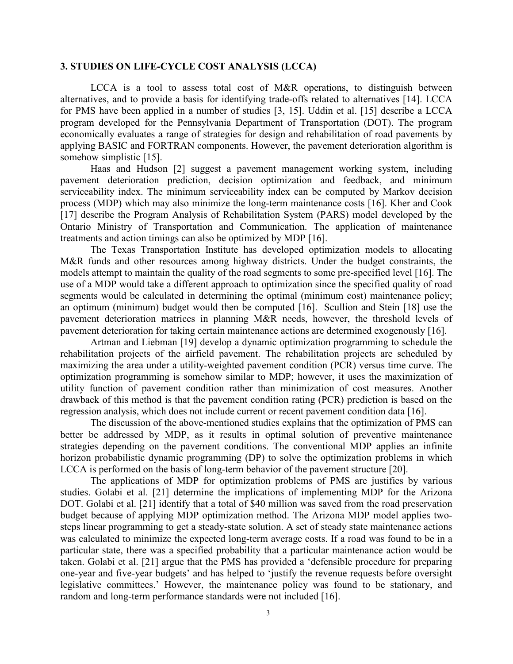## **3. STUDIES ON LIFE-CYCLE COST ANALYSIS (LCCA)**

LCCA is a tool to assess total cost of M&R operations, to distinguish between alternatives, and to provide a basis for identifying trade-offs related to alternatives [14]. LCCA for PMS have been applied in a number of studies [3, 15]. Uddin et al. [15] describe a LCCA program developed for the Pennsylvania Department of Transportation (DOT). The program economically evaluates a range of strategies for design and rehabilitation of road pavements by applying BASIC and FORTRAN components. However, the pavement deterioration algorithm is somehow simplistic [15].

Haas and Hudson [2] suggest a pavement management working system, including pavement deterioration prediction, decision optimization and feedback, and minimum serviceability index. The minimum serviceability index can be computed by Markov decision process (MDP) which may also minimize the long-term maintenance costs [16]. Kher and Cook [17] describe the Program Analysis of Rehabilitation System (PARS) model developed by the Ontario Ministry of Transportation and Communication. The application of maintenance treatments and action timings can also be optimized by MDP [16].

The Texas Transportation Institute has developed optimization models to allocating M&R funds and other resources among highway districts. Under the budget constraints, the models attempt to maintain the quality of the road segments to some pre-specified level [16]. The use of a MDP would take a different approach to optimization since the specified quality of road segments would be calculated in determining the optimal (minimum cost) maintenance policy; an optimum (minimum) budget would then be computed [16]. Scullion and Stein [18] use the pavement deterioration matrices in planning M&R needs, however, the threshold levels of pavement deterioration for taking certain maintenance actions are determined exogenously [16].

Artman and Liebman [19] develop a dynamic optimization programming to schedule the rehabilitation projects of the airfield pavement. The rehabilitation projects are scheduled by maximizing the area under a utility-weighted pavement condition (PCR) versus time curve. The optimization programming is somehow similar to MDP; however, it uses the maximization of utility function of pavement condition rather than minimization of cost measures. Another drawback of this method is that the pavement condition rating (PCR) prediction is based on the regression analysis, which does not include current or recent pavement condition data [16].

The discussion of the above-mentioned studies explains that the optimization of PMS can better be addressed by MDP, as it results in optimal solution of preventive maintenance strategies depending on the pavement conditions. The conventional MDP applies an infinite horizon probabilistic dynamic programming (DP) to solve the optimization problems in which LCCA is performed on the basis of long-term behavior of the pavement structure [20].

The applications of MDP for optimization problems of PMS are justifies by various studies. Golabi et al. [21] determine the implications of implementing MDP for the Arizona DOT. Golabi et al. [21] identify that a total of \$40 million was saved from the road preservation budget because of applying MDP optimization method. The Arizona MDP model applies twosteps linear programming to get a steady-state solution. A set of steady state maintenance actions was calculated to minimize the expected long-term average costs. If a road was found to be in a particular state, there was a specified probability that a particular maintenance action would be taken. Golabi et al. [21] argue that the PMS has provided a 'defensible procedure for preparing one-year and five-year budgets' and has helped to 'justify the revenue requests before oversight legislative committees.' However, the maintenance policy was found to be stationary, and random and long-term performance standards were not included [16].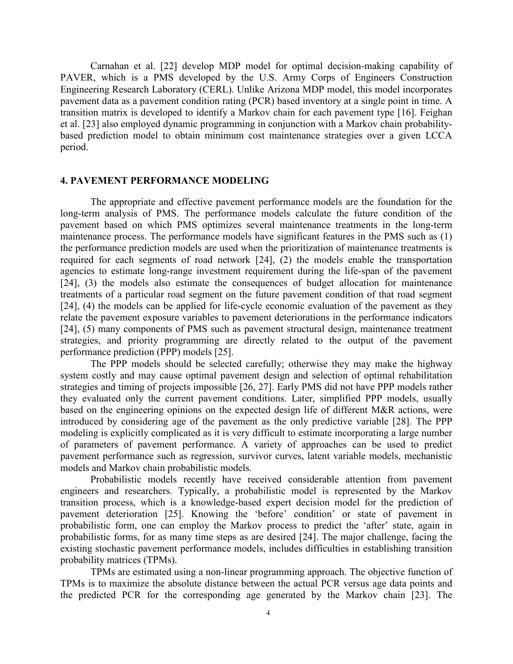Carnahan et al. [22] develop MDP model for optimal decision-making capability of PAVER, which is a PMS developed by the U.S. Army Corps of Engineers Construction Engineering Research Laboratory (CERL). Unlike Arizona MDP model, this model incorporates pavement data as a pavement condition rating (PCR) based inventory at a single point in time. A transition matrix is developed to identify a Markov chain for each pavement type [16]. Feighan et al. [23] also employed dynamic programming in conjunction with a Markov chain probabilitybased prediction model to obtain minimum cost maintenance strategies over a given LCCA period.

# **4. PAVEMENT PERFORMANCE MODELING**

The appropriate and effective pavement performance models are the foundation for the long-term analysis of PMS. The performance models calculate the future condition of the pavement based on which PMS optimizes several maintenance treatments in the long-term maintenance process. The performance models have significant features in the PMS such as (1) the performance prediction models are used when the prioritization of maintenance treatments is required for each segments of road network [24], (2) the models enable the transportation agencies to estimate long-range investment requirement during the life-span of the pavement [24], (3) the models also estimate the consequences of budget allocation for maintenance treatments of a particular road segment on the future pavement condition of that road segment [24], (4) the models can be applied for life-cycle economic evaluation of the pavement as they relate the pavement exposure variables to pavement deteriorations in the performance indicators [24], (5) many components of PMS such as pavement structural design, maintenance treatment strategies, and priority programming are directly related to the output of the pavement performance prediction (PPP) models [25].

The PPP models should be selected carefully; otherwise they may make the highway system costly and may cause optimal pavement design and selection of optimal rehabilitation strategies and timing of projects impossible [26, 27]. Early PMS did not have PPP models rather they evaluated only the current pavement conditions. Later, simplified PPP models, usually based on the engineering opinions on the expected design life of different M&R actions, were introduced by considering age of the pavement as the only predictive variable [28]. The PPP modeling is explicitly complicated as it is very difficult to estimate incorporating a large number of parameters of pavement performance. A variety of approaches can be used to predict pavement performance such as regression, survivor curves, latent variable models, mechanistic models and Markov chain probabilistic models.

Probabilistic models recently have received considerable attention from pavement engineers and researchers. Typically, a probabilistic model is represented by the Markov transition process, which is a knowledge-based expert decision model for the prediction of pavement deterioration [25]. Knowing the 'before' condition' or state of pavement in probabilistic form, one can employ the Markov process to predict the 'after' state, again in probabilistic forms, for as many time steps as are desired [24]. The major challenge, facing the existing stochastic pavement performance models, includes difficulties in establishing transition probability matrices (TPMs).

TPMs are estimated using a non-linear programming approach. The objective function of TPMs is to maximize the absolute distance between the actual PCR versus age data points and the predicted PCR for the corresponding age generated by the Markov chain [23]. The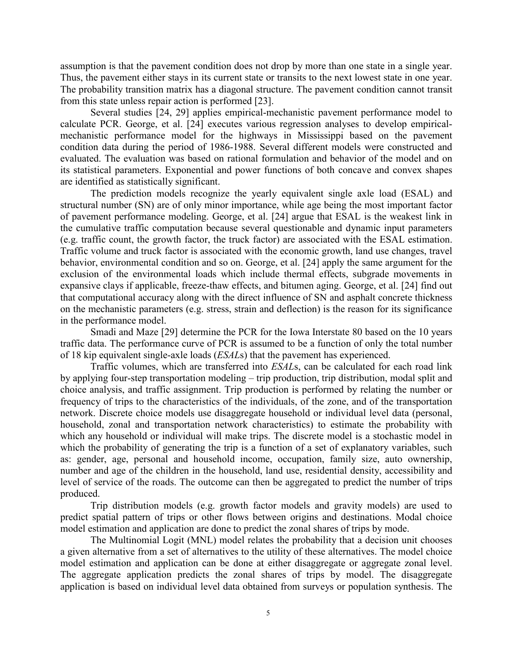assumption is that the pavement condition does not drop by more than one state in a single year. Thus, the pavement either stays in its current state or transits to the next lowest state in one year. The probability transition matrix has a diagonal structure. The pavement condition cannot transit from this state unless repair action is performed [23].

Several studies [24, 29] applies empirical-mechanistic pavement performance model to calculate PCR. George, et al. [24] executes various regression analyses to develop empiricalmechanistic performance model for the highways in Mississippi based on the pavement condition data during the period of 1986-1988. Several different models were constructed and evaluated. The evaluation was based on rational formulation and behavior of the model and on its statistical parameters. Exponential and power functions of both concave and convex shapes are identified as statistically significant.

The prediction models recognize the yearly equivalent single axle load (ESAL) and structural number (SN) are of only minor importance, while age being the most important factor of pavement performance modeling. George, et al. [24] argue that ESAL is the weakest link in the cumulative traffic computation because several questionable and dynamic input parameters (e.g. traffic count, the growth factor, the truck factor) are associated with the ESAL estimation. Traffic volume and truck factor is associated with the economic growth, land use changes, travel behavior, environmental condition and so on. George, et al. [24] apply the same argument for the exclusion of the environmental loads which include thermal effects, subgrade movements in expansive clays if applicable, freeze-thaw effects, and bitumen aging. George, et al. [24] find out that computational accuracy along with the direct influence of SN and asphalt concrete thickness on the mechanistic parameters (e.g. stress, strain and deflection) is the reason for its significance in the performance model.

Smadi and Maze [29] determine the PCR for the Iowa Interstate 80 based on the 10 years traffic data. The performance curve of PCR is assumed to be a function of only the total number of 18 kip equivalent single-axle loads (*ESAL*s) that the pavement has experienced.

Traffic volumes, which are transferred into *ESAL*s, can be calculated for each road link by applying four-step transportation modeling – trip production, trip distribution, modal split and choice analysis, and traffic assignment. Trip production is performed by relating the number or frequency of trips to the characteristics of the individuals, of the zone, and of the transportation network. Discrete choice models use disaggregate household or individual level data (personal, household, zonal and transportation network characteristics) to estimate the probability with which any household or individual will make trips. The discrete model is a stochastic model in which the probability of generating the trip is a function of a set of explanatory variables, such as: gender, age, personal and household income, occupation, family size, auto ownership, number and age of the children in the household, land use, residential density, accessibility and level of service of the roads. The outcome can then be aggregated to predict the number of trips produced.

Trip distribution models (e.g. growth factor models and gravity models) are used to predict spatial pattern of trips or other flows between origins and destinations. Modal choice model estimation and application are done to predict the zonal shares of trips by mode.

The Multinomial Logit (MNL) model relates the probability that a decision unit chooses a given alternative from a set of alternatives to the utility of these alternatives. The model choice model estimation and application can be done at either disaggregate or aggregate zonal level. The aggregate application predicts the zonal shares of trips by model. The disaggregate application is based on individual level data obtained from surveys or population synthesis. The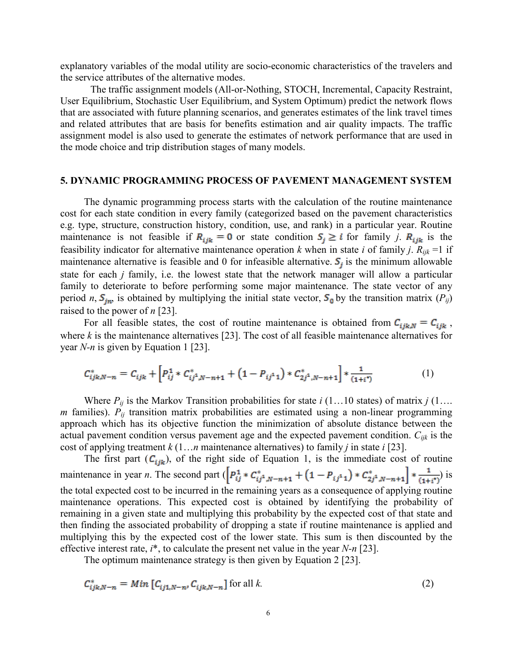explanatory variables of the modal utility are socio-economic characteristics of the travelers and the service attributes of the alternative modes.

The traffic assignment models (All-or-Nothing, STOCH, Incremental, Capacity Restraint, User Equilibrium, Stochastic User Equilibrium, and System Optimum) predict the network flows that are associated with future planning scenarios, and generates estimates of the link travel times and related attributes that are basis for benefits estimation and air quality impacts. The traffic assignment model is also used to generate the estimates of network performance that are used in the mode choice and trip distribution stages of many models.

#### **5. DYNAMIC PROGRAMMING PROCESS OF PAVEMENT MANAGEMENT SYSTEM**

The dynamic programming process starts with the calculation of the routine maintenance cost for each state condition in every family (categorized based on the pavement characteristics e.g. type, structure, construction history, condition, use, and rank) in a particular year. Routine maintenance is not feasible if  $R_{ijk} = 0$  or state condition  $S_j \ge i$  for family *j*.  $R_{ijk}$  is the feasibility indicator for alternative maintenance operation *k* when in state *i* of family *j*.  $R_{ijk}$  =1 if maintenance alternative is feasible and 0 for infeasible alternative.  $S_i$  is the minimum allowable state for each *j* family, i.e. the lowest state that the network manager will allow a particular family to deteriorate to before performing some major maintenance. The state vector of any period *n*,  $S_{\text{jm}}$  is obtained by multiplying the initial state vector,  $S_0$  by the transition matrix  $(P_{ij})$ raised to the power of *n* [23].

For all feasible states, the cost of routine maintenance is obtained from  $C_{ijk,N} = C_{ijk}$ , where *k* is the maintenance alternatives [23]. The cost of all feasible maintenance alternatives for year *N-n* is given by Equation 1 [23].

$$
C_{ijk,N-n}^* = C_{ijk} + \left[ P_{ij}^1 * C_{ij}^*_{N-n+1} + (1 - P_{ij}^1)_1 * C_{2j}^*_{N-n+1} \right] * \frac{1}{(1+i^*)}
$$
(1)

Where  $P_{ij}$  is the Markov Transition probabilities for state *i* (1...10 states) of matrix *j* (1... *m* families).  $P_{ii}$  transition matrix probabilities are estimated using a non-linear programming approach which has its objective function the minimization of absolute distance between the actual pavement condition versus pavement age and the expected pavement condition. *Cijk* is the cost of applying treatment *k* (1…*n* maintenance alternatives) to family *j* in state *i* [23].

The first part  $(C_{ijk})$ , of the right side of Equation 1, is the immediate cost of routine maintenance in year *n*. The second part  $\left( \left[ P_{ij}^1 * C_{ij}^*_{1,N-n+1} + (1 - P_{ij}^1)_1 * C_{2j}^*_{1,N-n+1} \right] * \frac{1}{(1+i^*)} \right)$  is the total expected cost to be incurred in the remaining years as a consequence of applying routine maintenance operations. This expected cost is obtained by identifying the probability of remaining in a given state and multiplying this probability by the expected cost of that state and then finding the associated probability of dropping a state if routine maintenance is applied and multiplying this by the expected cost of the lower state. This sum is then discounted by the effective interest rate, *i*\*, to calculate the present net value in the year *N-n* [23].

The optimum maintenance strategy is then given by Equation 2 [23].

$$
C_{ijk,N-n}^* = Min \left[ C_{ij1,N-n}, C_{ijk,N-n} \right] \text{ for all } k. \tag{2}
$$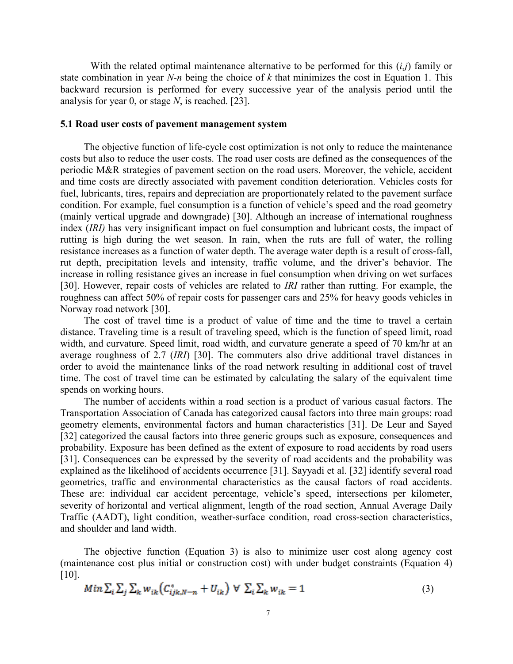With the related optimal maintenance alternative to be performed for this (*i,j*) family or state combination in year *N-n* being the choice of *k* that minimizes the cost in Equation 1. This backward recursion is performed for every successive year of the analysis period until the analysis for year 0, or stage *N*, is reached. [23].

#### **5.1 Road user costs of pavement management system**

The objective function of life-cycle cost optimization is not only to reduce the maintenance costs but also to reduce the user costs. The road user costs are defined as the consequences of the periodic M&R strategies of pavement section on the road users. Moreover, the vehicle, accident and time costs are directly associated with pavement condition deterioration. Vehicles costs for fuel, lubricants, tires, repairs and depreciation are proportionately related to the pavement surface condition. For example, fuel consumption is a function of vehicle's speed and the road geometry (mainly vertical upgrade and downgrade) [30]. Although an increase of international roughness index (*IRI)* has very insignificant impact on fuel consumption and lubricant costs, the impact of rutting is high during the wet season. In rain, when the ruts are full of water, the rolling resistance increases as a function of water depth. The average water depth is a result of cross-fall, rut depth, precipitation levels and intensity, traffic volume, and the driver's behavior. The increase in rolling resistance gives an increase in fuel consumption when driving on wet surfaces [30]. However, repair costs of vehicles are related to *IRI* rather than rutting. For example, the roughness can affect 50% of repair costs for passenger cars and 25% for heavy goods vehicles in Norway road network [30].

The cost of travel time is a product of value of time and the time to travel a certain distance. Traveling time is a result of traveling speed, which is the function of speed limit, road width, and curvature. Speed limit, road width, and curvature generate a speed of 70 km/hr at an average roughness of 2.7 (*IRI*) [30]. The commuters also drive additional travel distances in order to avoid the maintenance links of the road network resulting in additional cost of travel time. The cost of travel time can be estimated by calculating the salary of the equivalent time spends on working hours.

The number of accidents within a road section is a product of various casual factors. The Transportation Association of Canada has categorized causal factors into three main groups: road geometry elements, environmental factors and human characteristics [31]. De Leur and Sayed [32] categorized the causal factors into three generic groups such as exposure, consequences and probability. Exposure has been defined as the extent of exposure to road accidents by road users [31]. Consequences can be expressed by the severity of road accidents and the probability was explained as the likelihood of accidents occurrence [31]. Sayyadi et al. [32] identify several road geometrics, traffic and environmental characteristics as the causal factors of road accidents. These are: individual car accident percentage, vehicle's speed, intersections per kilometer, severity of horizontal and vertical alignment, length of the road section, Annual Average Daily Traffic (AADT), light condition, weather-surface condition, road cross-section characteristics, and shoulder and land width.

The objective function (Equation 3) is also to minimize user cost along agency cost (maintenance cost plus initial or construction cost) with under budget constraints (Equation 4) [10].

$$
Min \sum_{i} \sum_{j} \sum_{k} w_{ik} \left( C_{ijk,N-n}^{*} + U_{ik} \right) \ \forall \ \sum_{i} \sum_{k} w_{ik} = 1 \tag{3}
$$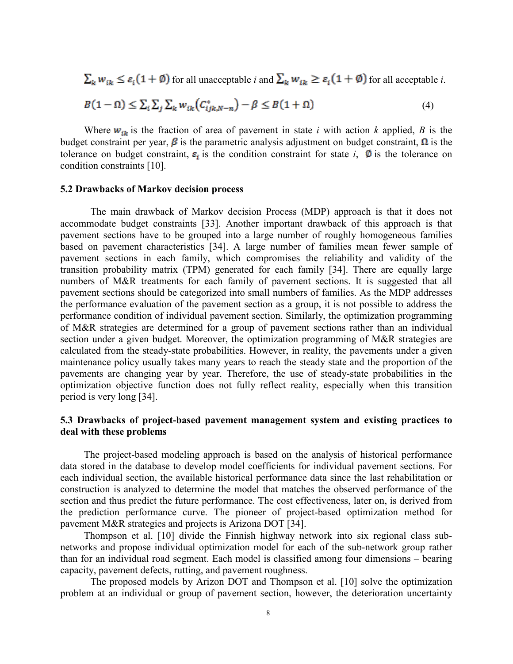$$
\sum_{k} w_{ik} \le \varepsilon_i (1 + \emptyset)
$$
 for all unacceptable *i* and  $\sum_{k} w_{ik} \ge \varepsilon_i (1 + \emptyset)$  for all acceptable *i*.

$$
B(1-\Omega) \le \sum_{i} \sum_{j} \sum_{k} w_{ik} \left( C_{ijk,N-n}^* \right) - \beta \le B(1+\Omega) \tag{4}
$$

Where  $w_{ik}$  is the fraction of area of pavement in state *i* with action *k* applied, *B* is the budget constraint per year,  $\beta$  is the parametric analysis adjustment on budget constraint,  $\Omega$  is the tolerance on budget constraint,  $\epsilon_i$  is the condition constraint for state *i*,  $\Phi$  is the tolerance on condition constraints [10].

#### **5.2 Drawbacks of Markov decision process**

The main drawback of Markov decision Process (MDP) approach is that it does not accommodate budget constraints [33]. Another important drawback of this approach is that pavement sections have to be grouped into a large number of roughly homogeneous families based on pavement characteristics [34]. A large number of families mean fewer sample of pavement sections in each family, which compromises the reliability and validity of the transition probability matrix (TPM) generated for each family [34]. There are equally large numbers of M&R treatments for each family of pavement sections. It is suggested that all pavement sections should be categorized into small numbers of families. As the MDP addresses the performance evaluation of the pavement section as a group, it is not possible to address the performance condition of individual pavement section. Similarly, the optimization programming of M&R strategies are determined for a group of pavement sections rather than an individual section under a given budget. Moreover, the optimization programming of M&R strategies are calculated from the steady-state probabilities. However, in reality, the pavements under a given maintenance policy usually takes many years to reach the steady state and the proportion of the pavements are changing year by year. Therefore, the use of steady-state probabilities in the optimization objective function does not fully reflect reality, especially when this transition period is very long [34].

# **5.3 Drawbacks of project-based pavement management system and existing practices to deal with these problems**

The project-based modeling approach is based on the analysis of historical performance data stored in the database to develop model coefficients for individual pavement sections. For each individual section, the available historical performance data since the last rehabilitation or construction is analyzed to determine the model that matches the observed performance of the section and thus predict the future performance. The cost effectiveness, later on, is derived from the prediction performance curve. The pioneer of project-based optimization method for pavement M&R strategies and projects is Arizona DOT [34].

Thompson et al. [10] divide the Finnish highway network into six regional class subnetworks and propose individual optimization model for each of the sub-network group rather than for an individual road segment. Each model is classified among four dimensions – bearing capacity, pavement defects, rutting, and pavement roughness.

The proposed models by Arizon DOT and Thompson et al. [10] solve the optimization problem at an individual or group of pavement section, however, the deterioration uncertainty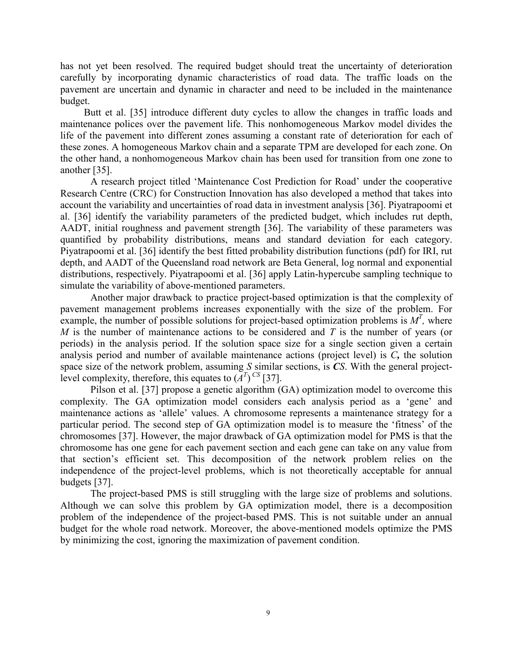has not yet been resolved. The required budget should treat the uncertainty of deterioration carefully by incorporating dynamic characteristics of road data. The traffic loads on the pavement are uncertain and dynamic in character and need to be included in the maintenance budget.

Butt et al. [35] introduce different duty cycles to allow the changes in traffic loads and maintenance polices over the pavement life. This nonhomogeneous Markov model divides the life of the pavement into different zones assuming a constant rate of deterioration for each of these zones. A homogeneous Markov chain and a separate TPM are developed for each zone. On the other hand, a nonhomogeneous Markov chain has been used for transition from one zone to another [35].

A research project titled 'Maintenance Cost Prediction for Road' under the cooperative Research Centre (CRC) for Construction Innovation has also developed a method that takes into account the variability and uncertainties of road data in investment analysis [36]. Piyatrapoomi et al. [36] identify the variability parameters of the predicted budget, which includes rut depth, AADT, initial roughness and pavement strength [36]. The variability of these parameters was quantified by probability distributions, means and standard deviation for each category. Piyatrapoomi et al. [36] identify the best fitted probability distribution functions (pdf) for IRI, rut depth, and AADT of the Queensland road network are Beta General, log normal and exponential distributions, respectively. Piyatrapoomi et al. [36] apply Latin-hypercube sampling technique to simulate the variability of above-mentioned parameters.

Another major drawback to practice project-based optimization is that the complexity of pavement management problems increases exponentially with the size of the problem. For example, the number of possible solutions for project-based optimization problems is  $M<sup>T</sup>$ , where *M* is the number of maintenance actions to be considered and *T* is the number of years (or periods) in the analysis period. If the solution space size for a single section given a certain analysis period and number of available maintenance actions (project level) is *C,* the solution space size of the network problem, assuming *S* similar sections, is *CS*. With the general projectlevel complexity, therefore, this equates to  $(A<sup>T</sup>)$  <sup>CS</sup> [37].

Pilson et al. [37] propose a genetic algorithm (GA) optimization model to overcome this complexity. The GA optimization model considers each analysis period as a 'gene' and maintenance actions as 'allele' values. A chromosome represents a maintenance strategy for a particular period. The second step of GA optimization model is to measure the 'fitness' of the chromosomes [37]. However, the major drawback of GA optimization model for PMS is that the chromosome has one gene for each pavement section and each gene can take on any value from that section's efficient set. This decomposition of the network problem relies on the independence of the project-level problems, which is not theoretically acceptable for annual budgets [37].

The project-based PMS is still struggling with the large size of problems and solutions. Although we can solve this problem by GA optimization model, there is a decomposition problem of the independence of the project-based PMS. This is not suitable under an annual budget for the whole road network. Moreover, the above-mentioned models optimize the PMS by minimizing the cost, ignoring the maximization of pavement condition.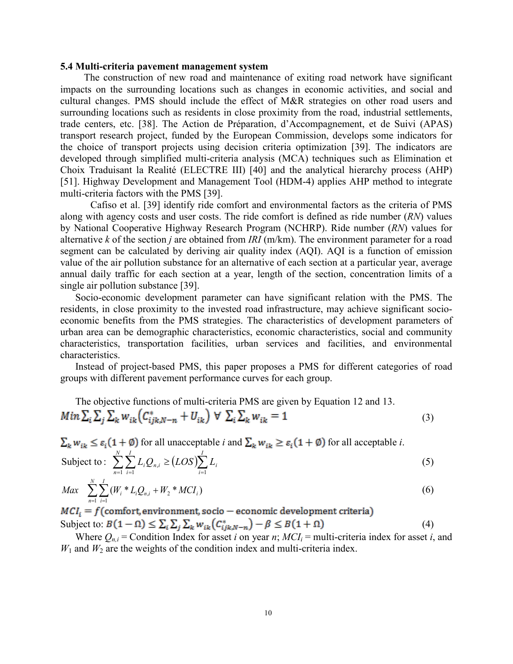#### **5.4 Multi-criteria pavement management system**

The construction of new road and maintenance of exiting road network have significant impacts on the surrounding locations such as changes in economic activities, and social and cultural changes. PMS should include the effect of M&R strategies on other road users and surrounding locations such as residents in close proximity from the road, industrial settlements, trade centers, etc. [38]. The Action de Préparation, d'Accompagnement, et de Suivi (APAS) transport research project, funded by the European Commission, develops some indicators for the choice of transport projects using decision criteria optimization [39]. The indicators are developed through simplified multi-criteria analysis (MCA) techniques such as Elimination et Choix Traduisant la Realité (ELECTRE III) [40] and the analytical hierarchy process (AHP) [51]. Highway Development and Management Tool (HDM-4) applies AHP method to integrate multi-criteria factors with the PMS [39].

Cafiso et al. [39] identify ride comfort and environmental factors as the criteria of PMS along with agency costs and user costs. The ride comfort is defined as ride number (*RN*) values by National Cooperative Highway Research Program (NCHRP). Ride number (*RN*) values for alternative *k* of the section *j* are obtained from *IRI* (m/km). The environment parameter for a road segment can be calculated by deriving air quality index (AQI). AQI is a function of emission value of the air pollution substance for an alternative of each section at a particular year, average annual daily traffic for each section at a year, length of the section, concentration limits of a single air pollution substance [39].

Socio-economic development parameter can have significant relation with the PMS. The residents, in close proximity to the invested road infrastructure, may achieve significant socioeconomic benefits from the PMS strategies. The characteristics of development parameters of urban area can be demographic characteristics, economic characteristics, social and community characteristics, transportation facilities, urban services and facilities, and environmental characteristics.

Instead of project-based PMS, this paper proposes a PMS for different categories of road groups with different pavement performance curves for each group.

The objective functions of multi-criteria PMS are given by Equation 12 and 13.  $Min \sum_i \sum_i \sum_k w_{ik} (C_{iik,N-n}^* + U_{ik}) \ \forall \ \sum_i \sum_k w_{ik} = 1$ (3)

for all unacceptable *i* and  $\Sigma_k w_{ik} \ge \varepsilon_i (1 + \emptyset)$  for all acceptable *i*. *I N I*

Subject to: 
$$
\sum_{n=1}^{\infty} \sum_{i=1}^{n} L_i Q_{n,i} \ge (LOS) \sum_{i=1}^{n} L_i
$$
 (5)

$$
Max \sum_{n=1}^{N} \sum_{i=1}^{I} (W_i * L_i Q_{n,i} + W_2 * MC I_i)
$$
 (6)

 $MCI_i = f$ (comfort, environment, socio – economic development criteria) Subject to:  $B(1 - \Omega) \le \sum_i \sum_j \sum_k w_{ik} (C^*_{ijk,N-n}) - \beta \le B(1 + \Omega)$  (4)

Where  $Q_{n,i}$  = Condition Index for asset *i* on year *n*;  $MCI_i$  = multi-criteria index for asset *i*, and  $W_1$  and  $W_2$  are the weights of the condition index and multi-criteria index.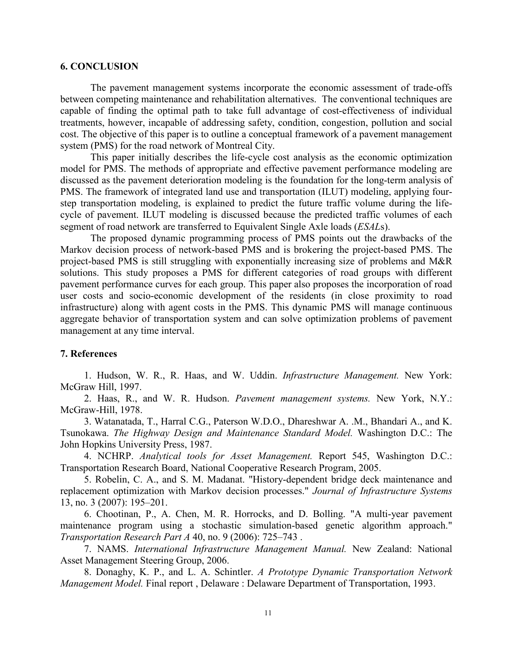## **6. CONCLUSION**

The pavement management systems incorporate the economic assessment of trade-offs between competing maintenance and rehabilitation alternatives. The conventional techniques are capable of finding the optimal path to take full advantage of cost-effectiveness of individual treatments, however, incapable of addressing safety, condition, congestion, pollution and social cost. The objective of this paper is to outline a conceptual framework of a pavement management system (PMS) for the road network of Montreal City.

This paper initially describes the life-cycle cost analysis as the economic optimization model for PMS. The methods of appropriate and effective pavement performance modeling are discussed as the pavement deterioration modeling is the foundation for the long-term analysis of PMS. The framework of integrated land use and transportation (ILUT) modeling, applying fourstep transportation modeling, is explained to predict the future traffic volume during the lifecycle of pavement. ILUT modeling is discussed because the predicted traffic volumes of each segment of road network are transferred to Equivalent Single Axle loads (*ESAL*s).

The proposed dynamic programming process of PMS points out the drawbacks of the Markov decision process of network-based PMS and is brokering the project-based PMS. The project-based PMS is still struggling with exponentially increasing size of problems and M&R solutions. This study proposes a PMS for different categories of road groups with different pavement performance curves for each group. This paper also proposes the incorporation of road user costs and socio-economic development of the residents (in close proximity to road infrastructure) along with agent costs in the PMS. This dynamic PMS will manage continuous aggregate behavior of transportation system and can solve optimization problems of pavement management at any time interval.

#### **7. References**

1. Hudson, W. R., R. Haas, and W. Uddin. *Infrastructure Management.* New York: McGraw Hill, 1997.

2. Haas, R., and W. R. Hudson. *Pavement management systems.* New York, N.Y.: McGraw-Hill, 1978.

3. Watanatada, T., Harral C.G., Paterson W.D.O., Dhareshwar A. .M., Bhandari A., and K. Tsunokawa. *The Highway Design and Maintenance Standard Model.* Washington D.C.: The John Hopkins University Press, 1987.

4. NCHRP. *Analytical tools for Asset Management.* Report 545, Washington D.C.: Transportation Research Board, National Cooperative Research Program, 2005.

5. Robelin, C. A., and S. M. Madanat. "History-dependent bridge deck maintenance and replacement optimization with Markov decision processes." *Journal of Infrastructure Systems* 13, no. 3 (2007): 195–201.

6. Chootinan, P., A. Chen, M. R. Horrocks, and D. Bolling. "A multi-year pavement maintenance program using a stochastic simulation-based genetic algorithm approach." *Transportation Research Part A* 40, no. 9 (2006): 725–743 .

7. NAMS. *International Infrastructure Management Manual.* New Zealand: National Asset Management Steering Group, 2006.

8. Donaghy, K. P., and L. A. Schintler. *A Prototype Dynamic Transportation Network Management Model.* Final report , Delaware : Delaware Department of Transportation, 1993.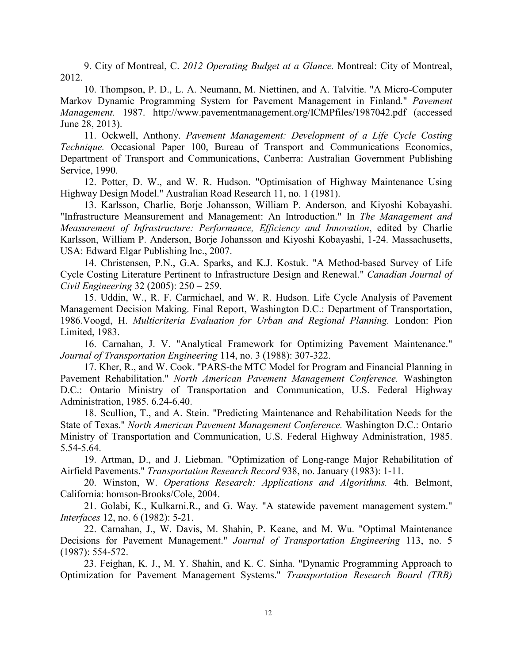9. City of Montreal, C. *2012 Operating Budget at a Glance.* Montreal: City of Montreal, 2012.

10. Thompson, P. D., L. A. Neumann, M. Niettinen, and A. Talvitie. "A Micro-Computer Markov Dynamic Programming System for Pavement Management in Finland." *Pavement Management.* 1987. http://www.pavementmanagement.org/ICMPfiles/1987042.pdf (accessed June 28, 2013).

11. Ockwell, Anthony. *Pavement Management: Development of a Life Cycle Costing Technique.* Occasional Paper 100, Bureau of Transport and Communications Economics, Department of Transport and Communications, Canberra: Australian Government Publishing Service, 1990.

12. Potter, D. W., and W. R. Hudson. "Optimisation of Highway Maintenance Using Highway Design Model." Australian Road Research 11, no. 1 (1981).

13. Karlsson, Charlie, Borje Johansson, William P. Anderson, and Kiyoshi Kobayashi. "Infrastructure Meansurement and Management: An Introduction." In *The Management and Measurement of Infrastructure: Performance, Efficiency and Innovation*, edited by Charlie Karlsson, William P. Anderson, Borje Johansson and Kiyoshi Kobayashi, 1-24. Massachusetts, USA: Edward Elgar Publishing Inc., 2007.

14. Christensen, P.N., G.A. Sparks, and K.J. Kostuk. "A Method-based Survey of Life Cycle Costing Literature Pertinent to Infrastructure Design and Renewal." *Canadian Journal of Civil Engineering* 32 (2005): 250 – 259.

15. Uddin, W., R. F. Carmichael, and W. R. Hudson. Life Cycle Analysis of Pavement Management Decision Making. Final Report, Washington D.C.: Department of Transportation, 1986.Voogd, H. *Multicriteria Evaluation for Urban and Regional Planning.* London: Pion Limited, 1983.

16. Carnahan, J. V. "Analytical Framework for Optimizing Pavement Maintenance." *Journal of Transportation Engineering* 114, no. 3 (1988): 307-322.

17. Kher, R., and W. Cook. "PARS-the MTC Model for Program and Financial Planning in Pavement Rehabilitation." *North American Pavement Management Conference.* Washington D.C.: Ontario Ministry of Transportation and Communication, U.S. Federal Highway Administration, 1985. 6.24-6.40.

18. Scullion, T., and A. Stein. "Predicting Maintenance and Rehabilitation Needs for the State of Texas." *North American Pavement Management Conference.* Washington D.C.: Ontario Ministry of Transportation and Communication, U.S. Federal Highway Administration, 1985. 5.54-5.64.

19. Artman, D., and J. Liebman. "Optimization of Long-range Major Rehabilitation of Airfield Pavements." *Transportation Research Record* 938, no. January (1983): 1-11.

20. Winston, W. *Operations Research: Applications and Algorithms.* 4th. Belmont, California: homson-Brooks/Cole, 2004.

21. Golabi, K., Kulkarni.R., and G. Way. "A statewide pavement management system." *Interfaces* 12, no. 6 (1982): 5-21.

22. Carnahan, J., W. Davis, M. Shahin, P. Keane, and M. Wu. "Optimal Maintenance Decisions for Pavement Management." *Journal of Transportation Engineering* 113, no. 5 (1987): 554-572.

23. Feighan, K. J., M. Y. Shahin, and K. C. Sinha. "Dynamic Programming Approach to Optimization for Pavement Management Systems." *Transportation Research Board (TRB)*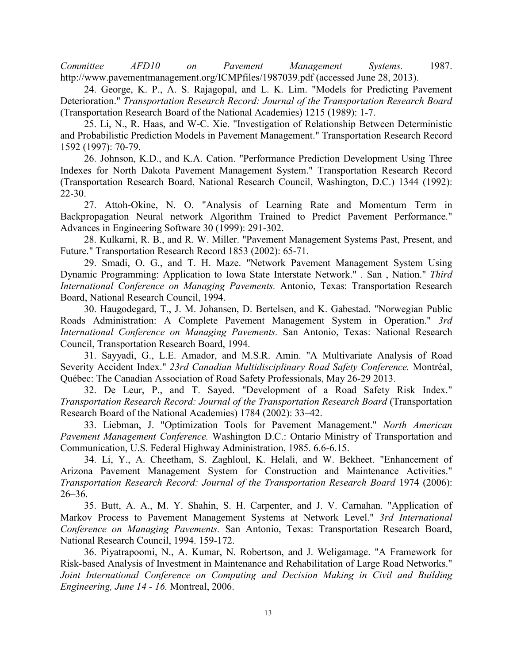*Committee AFD10 on Pavement Management Systems.* 1987. http://www.pavementmanagement.org/ICMPfiles/1987039.pdf (accessed June 28, 2013).

24. George, K. P., A. S. Rajagopal, and L. K. Lim. "Models for Predicting Pavement Deterioration." *Transportation Research Record: Journal of the Transportation Research Board* (Transportation Research Board of the National Academies) 1215 (1989): 1-7.

25. Li, N., R. Haas, and W-C. Xie. "Investigation of Relationship Between Deterministic and Probabilistic Prediction Models in Pavement Management." Transportation Research Record 1592 (1997): 70-79.

26. Johnson, K.D., and K.A. Cation. "Performance Prediction Development Using Three Indexes for North Dakota Pavement Management System." Transportation Research Record (Transportation Research Board, National Research Council, Washington, D.C.) 1344 (1992): 22-30.

27. Attoh-Okine, N. O. "Analysis of Learning Rate and Momentum Term in Backpropagation Neural network Algorithm Trained to Predict Pavement Performance." Advances in Engineering Software 30 (1999): 291-302.

28. Kulkarni, R. B., and R. W. Miller. "Pavement Management Systems Past, Present, and Future." Transportation Research Record 1853 (2002): 65-71.

29. Smadi, O. G., and T. H. Maze. "Network Pavement Management System Using Dynamic Programming: Application to Iowa State Interstate Network." . San , Nation." *Third International Conference on Managing Pavements.* Antonio, Texas: Transportation Research Board, National Research Council, 1994.

30. Haugodegard, T., J. M. Johansen, D. Bertelsen, and K. Gabestad. "Norwegian Public Roads Administration: A Complete Pavement Management System in Operation." *3rd International Conference on Managing Pavements.* San Antonio, Texas: National Research Council, Transportation Research Board, 1994.

31. Sayyadi, G., L.E. Amador, and M.S.R. Amin. "A Multivariate Analysis of Road Severity Accident Index." *23rd Canadian Multidisciplinary Road Safety Conference.* Montréal, Québec: The Canadian Association of Road Safety Professionals, May 26-29 2013.

32. De Leur, P., and T. Sayed. "Development of a Road Safety Risk Index." *Transportation Research Record: Journal of the Transportation Research Board* (Transportation Research Board of the National Academies) 1784 (2002): 33–42.

33. Liebman, J. "Optimization Tools for Pavement Management." *North American Pavement Management Conference.* Washington D.C.: Ontario Ministry of Transportation and Communication, U.S. Federal Highway Administration, 1985. 6.6-6.15.

34. Li, Y., A. Cheetham, S. Zaghloul, K. Helali, and W. Bekheet. "Enhancement of Arizona Pavement Management System for Construction and Maintenance Activities." *Transportation Research Record: Journal of the Transportation Research Board* 1974 (2006): 26–36.

35. Butt, A. A., M. Y. Shahin, S. H. Carpenter, and J. V. Carnahan. "Application of Markov Process to Pavement Management Systems at Network Level." *3rd International Conference on Managing Pavements.* San Antonio, Texas: Transportation Research Board, National Research Council, 1994. 159-172.

36. Piyatrapoomi, N., A. Kumar, N. Robertson, and J. Weligamage. "A Framework for Risk-based Analysis of Investment in Maintenance and Rehabilitation of Large Road Networks." *Joint International Conference on Computing and Decision Making in Civil and Building Engineering, June 14 - 16.* Montreal, 2006.